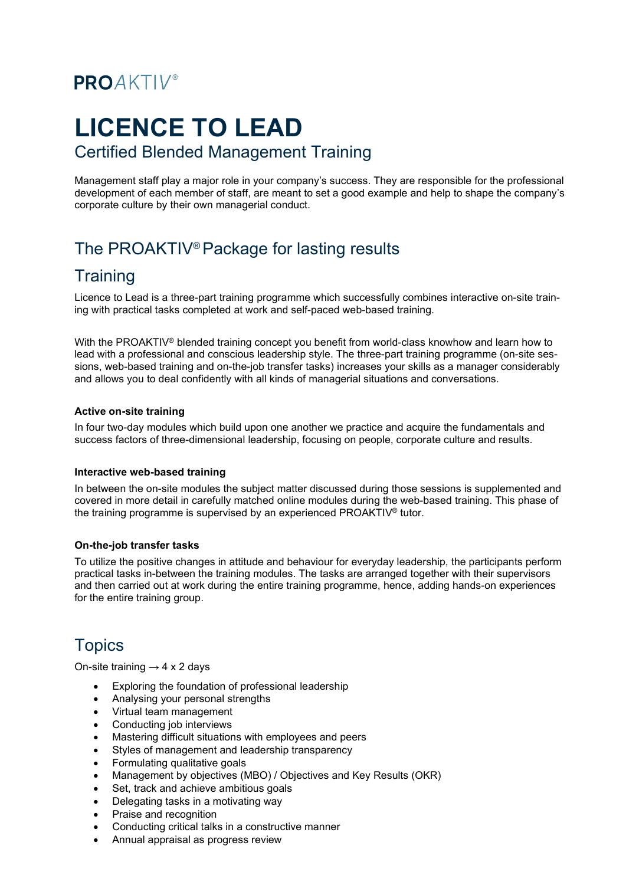# **PROAKTIV®**

# **LICENCE TO LEAD**

#### Certified Blended Management Training

Management staff play a major role in your company's success. They are responsible for the professional development of each member of staff, are meant to set a good example and help to shape the company's corporate culture by their own managerial conduct.

# The PROAKTIV® Package for lasting results

### **Training**

Licence to Lead is a three-part training programme which successfully combines interactive on-site training with practical tasks completed at work and self-paced web-based training.

With the PROAKTIV<sup>®</sup> blended training concept you benefit from world-class knowhow and learn how to lead with a professional and conscious leadership style. The three-part training programme (on-site sessions, web-based training and on-the-job transfer tasks) increases your skills as a manager considerably and allows you to deal confidently with all kinds of managerial situations and conversations.

#### **Active on-site training**

In four two-day modules which build upon one another we practice and acquire the fundamentals and success factors of three-dimensional leadership, focusing on people, corporate culture and results.

#### **Interactive web-based training**

In between the on-site modules the subject matter discussed during those sessions is supplemented and covered in more detail in carefully matched online modules during the web-based training. This phase of the training programme is supervised by an experienced PROAKTIV® tutor.

#### **On-the-job transfer tasks**

To utilize the positive changes in attitude and behaviour for everyday leadership, the participants perform practical tasks in-between the training modules. The tasks are arranged together with their supervisors and then carried out at work during the entire training programme, hence, adding hands-on experiences for the entire training group.

# **Topics**

On-site training  $\rightarrow$  4 x 2 days

- Exploring the foundation of professional leadership
- Analysing your personal strengths
- Virtual team management
- Conducting job interviews
- Mastering difficult situations with employees and peers
- Styles of management and leadership transparency
- Formulating qualitative goals
- Management by objectives (MBO) / Objectives and Key Results (OKR)
- Set, track and achieve ambitious goals
- Delegating tasks in a motivating way
- Praise and recognition
- Conducting critical talks in a constructive manner
- Annual appraisal as progress review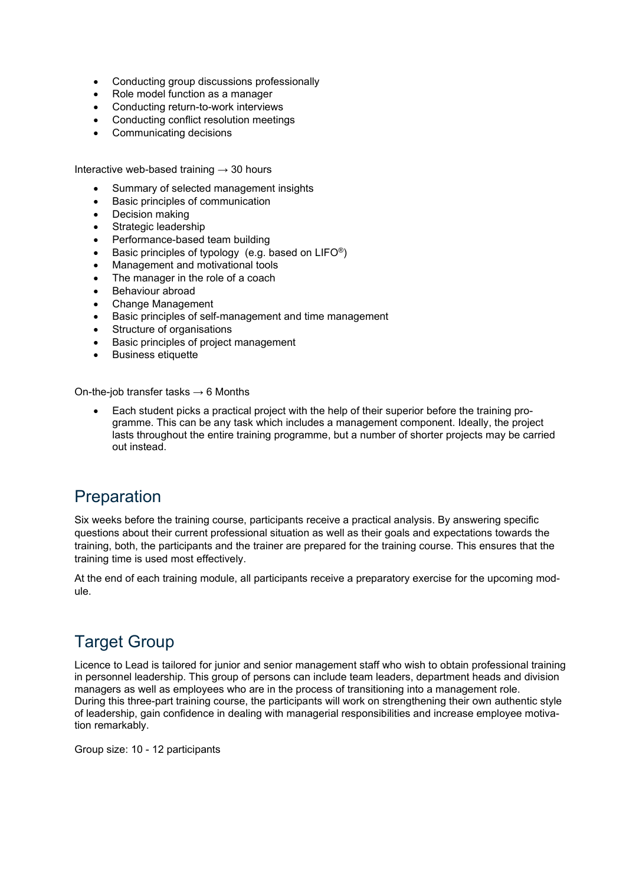- Conducting group discussions professionally
- Role model function as a manager
- Conducting return-to-work interviews
- Conducting conflict resolution meetings
- Communicating decisions

Interactive web-based training  $\rightarrow$  30 hours

- Summary of selected management insights
- Basic principles of communication
- Decision making
- Strategic leadership
- Performance-based team building
- Basic principles of typology (e.g. based on  $LIFO<sup>®</sup>$ )
- Management and motivational tools
- The manager in the role of a coach
- Behaviour abroad
- Change Management
- Basic principles of self-management and time management
- Structure of organisations
- Basic principles of project management
- Business etiquette

On-the-job transfer tasks  $\rightarrow$  6 Months

• Each student picks a practical project with the help of their superior before the training programme. This can be any task which includes a management component. Ideally, the project lasts throughout the entire training programme, but a number of shorter projects may be carried out instead.

### **Preparation**

Six weeks before the training course, participants receive a practical analysis. By answering specific questions about their current professional situation as well as their goals and expectations towards the training, both, the participants and the trainer are prepared for the training course. This ensures that the training time is used most effectively.

At the end of each training module, all participants receive a preparatory exercise for the upcoming module.

# Target Group

Licence to Lead is tailored for junior and senior management staff who wish to obtain professional training in personnel leadership. This group of persons can include team leaders, department heads and division managers as well as employees who are in the process of transitioning into a management role. During this three-part training course, the participants will work on strengthening their own authentic style of leadership, gain confidence in dealing with managerial responsibilities and increase employee motivation remarkably.

Group size: 10 - 12 participants